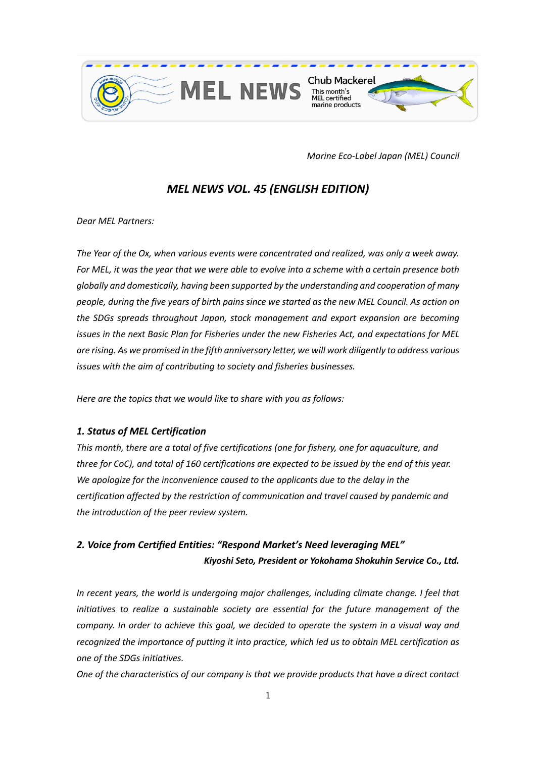

*Marine Eco-Label Japan (MEL) Council*

## *MEL NEWS VOL. 45 (ENGLISH EDITION)*

*Dear MEL Partners:* 

*The Year of the Ox, when various events were concentrated and realized, was only a week away. For MEL, it was the year that we were able to evolve into a scheme with a certain presence both globally and domestically, having been supported by the understanding and cooperation of many people, during the five years of birth pains since we started as the new MEL Council. As action on the SDGs spreads throughout Japan, stock management and export expansion are becoming issues in the next Basic Plan for Fisheries under the new Fisheries Act, and expectations for MEL are rising. As we promised in the fifth anniversary letter, we will work diligently to address various issues with the aim of contributing to society and fisheries businesses.* 

*Here are the topics that we would like to share with you as follows:* 

### *1. Status of MEL Certification*

*This month, there are a total of five certifications (one for fishery, one for aquaculture, and three for CoC), and total of 160 certifications are expected to be issued by the end of this year. We apologize for the inconvenience caused to the applicants due to the delay in the certification affected by the restriction of communication and travel caused by pandemic and the introduction of the peer review system.*

# *2. Voice from Certified Entities: "Respond Market's Need leveraging MEL" Kiyoshi Seto, President or Yokohama Shokuhin Service Co., Ltd.*

*In recent years, the world is undergoing major challenges, including climate change. I feel that initiatives to realize a sustainable society are essential for the future management of the company. In order to achieve this goal, we decided to operate the system in a visual way and recognized the importance of putting it into practice, which led us to obtain MEL certification as one of the SDGs initiatives.* 

*One of the characteristics of our company is that we provide products that have a direct contact*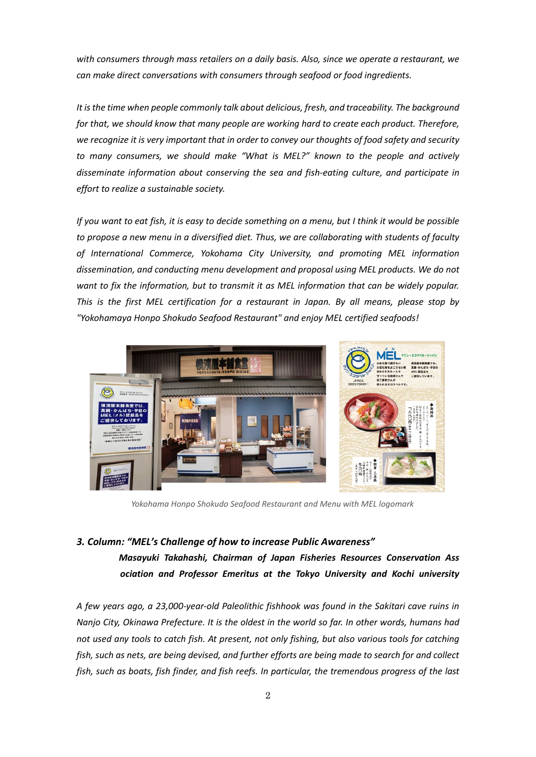*with consumers through mass retailers on a daily basis. Also, since we operate a restaurant, we can make direct conversations with consumers through seafood or food ingredients.*

*It is the time when people commonly talk about delicious, fresh, and traceability. The background for that, we should know that many people are working hard to create each product. Therefore, we recognize it is very important that in order to convey our thoughts of food safety and security to many consumers, we should make "What is MEL?" known to the people and actively disseminate information about conserving the sea and fish-eating culture, and participate in effort to realize a sustainable society.*

*If you want to eat fish, it is easy to decide something on a menu, but I think it would be possible to propose a new menu in a diversified diet. Thus, we are collaborating with students of faculty of International Commerce, Yokohama City University, and promoting MEL information dissemination, and conducting menu development and proposal using MEL products. We do not want to fix the information, but to transmit it as MEL information that can be widely popular. This is the first MEL certification for a restaurant in Japan. By all means, please stop by "Yokohamaya Honpo Shokudo Seafood Restaurant" and enjoy MEL certified seafoods!*



*Yokohama Honpo Shokudo Seafood Restaurant and Menu with MEL logomark*

### *3. Column: "MEL's Challenge of how to increase Public Awareness" Masayuki Takahashi, Chairman of Japan Fisheries Resources Conservation Ass ociation and Professor Emeritus at the Tokyo University and Kochi university*

*A few years ago, a 23,000-year-old Paleolithic fishhook was found in the Sakitari cave ruins in Nanjo City, Okinawa Prefecture. It is the oldest in the world so far. In other words, humans had not used any tools to catch fish. At present, not only fishing, but also various tools for catching fish, such as nets, are being devised, and further efforts are being made to search for and collect fish, such as boats, fish finder, and fish reefs. In particular, the tremendous progress of the last*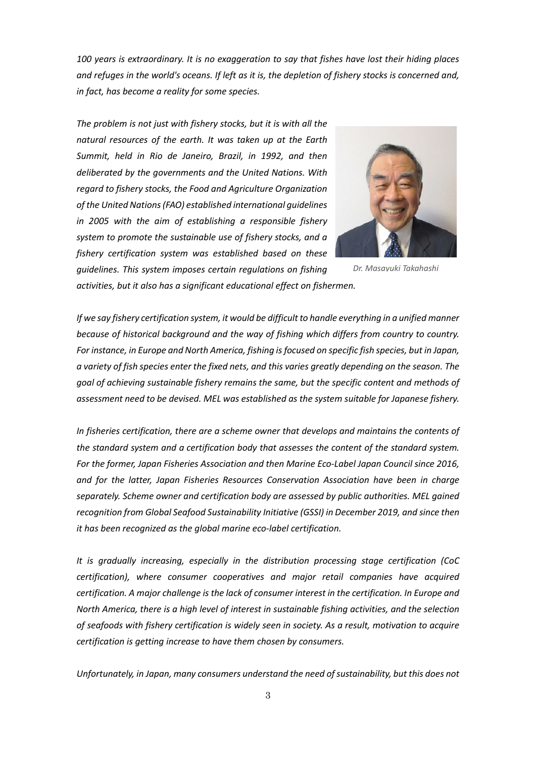*100 years is extraordinary. It is no exaggeration to say that fishes have lost their hiding places and refuges in the world's oceans. If left as it is, the depletion of fishery stocks is concerned and, in fact, has become a reality for some species.* 

*The problem is not just with fishery stocks, but it is with all the natural resources of the earth. It was taken up at the Earth Summit, held in Rio de Janeiro, Brazil, in 1992, and then deliberated by the governments and the United Nations. With regard to fishery stocks, the Food and Agriculture Organization of the United Nations (FAO) established international guidelines in 2005 with the aim of establishing a responsible fishery system to promote the sustainable use of fishery stocks, and a fishery certification system was established based on these guidelines. This system imposes certain regulations on fishing* 



*Dr. Masayuki Takahashi*

*activities, but it also has a significant educational effect on fishermen.*

*If we say fishery certification system, it would be difficult to handle everything in a unified manner because of historical background and the way of fishing which differs from country to country. For instance, in Europe and North America, fishing is focused on specific fish species, but in Japan, a variety of fish species enter the fixed nets, and this varies greatly depending on the season. The goal of achieving sustainable fishery remains the same, but the specific content and methods of assessment need to be devised. MEL was established as the system suitable for Japanese fishery.*

*In fisheries certification, there are a scheme owner that develops and maintains the contents of the standard system and a certification body that assesses the content of the standard system. For the former, Japan Fisheries Association and then Marine Eco-Label Japan Council since 2016, and for the latter, Japan Fisheries Resources Conservation Association have been in charge separately. Scheme owner and certification body are assessed by public authorities. MEL gained recognition from Global Seafood Sustainability Initiative (GSSI) in December 2019, and since then it has been recognized as the global marine eco-label certification.*

*It is gradually increasing, especially in the distribution processing stage certification (CoC certification), where consumer cooperatives and major retail companies have acquired certification. A major challenge is the lack of consumer interest in the certification. In Europe and North America, there is a high level of interest in sustainable fishing activities, and the selection of seafoods with fishery certification is widely seen in society. As a result, motivation to acquire certification is getting increase to have them chosen by consumers.* 

*Unfortunately, in Japan, many consumers understand the need of sustainability, but this does not*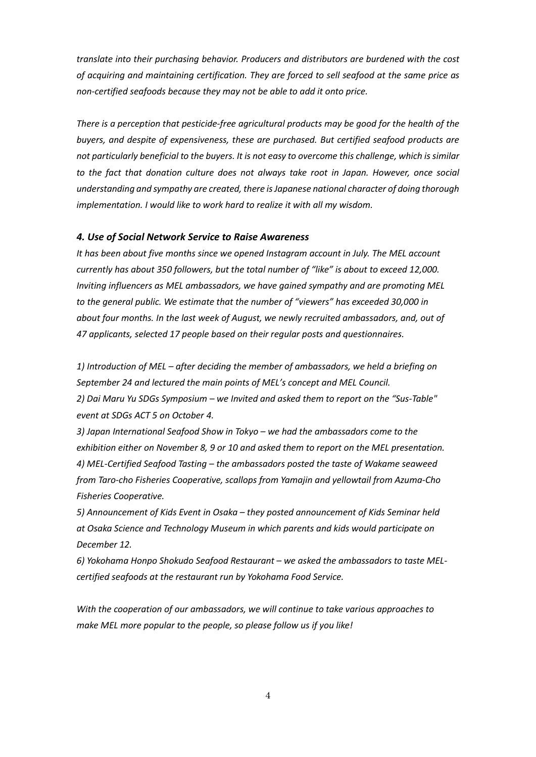*translate into their purchasing behavior. Producers and distributors are burdened with the cost of acquiring and maintaining certification. They are forced to sell seafood at the same price as non-certified seafoods because they may not be able to add it onto price.* 

*There is a perception that pesticide-free agricultural products may be good for the health of the buyers, and despite of expensiveness, these are purchased. But certified seafood products are not particularly beneficial to the buyers. It is not easy to overcome this challenge, which is similar*  to the fact that donation culture does not always take root in Japan. However, once social *understanding and sympathy are created, there is Japanese national character of doing thorough implementation. I would like to work hard to realize it with all my wisdom.*

#### *4. Use of Social Network Service to Raise Awareness*

*It has been about five months since we opened Instagram account in July. The MEL account currently has about 350 followers, but the total number of "like" is about to exceed 12,000. Inviting influencers as MEL ambassadors, we have gained sympathy and are promoting MEL to the general public. We estimate that the number of "viewers" has exceeded 30,000 in about four months. In the last week of August, we newly recruited ambassadors, and, out of 47 applicants, selected 17 people based on their regular posts and questionnaires.*

*1) Introduction of MEL – after deciding the member of ambassadors, we held a briefing on September 24 and lectured the main points of MEL's concept and MEL Council. 2) Dai Maru Yu SDGs Symposium – we Invited and asked them to report on the "Sus-Table" event at SDGs ACT 5 on October 4.*

*3) Japan International Seafood Show in Tokyo – we had the ambassadors come to the exhibition either on November 8, 9 or 10 and asked them to report on the MEL presentation. 4) MEL-Certified Seafood Tasting – the ambassadors posted the taste of Wakame seaweed from Taro-cho Fisheries Cooperative, scallops from Yamajin and yellowtail from Azuma-Cho Fisheries Cooperative.*

*5) Announcement of Kids Event in Osaka – they posted announcement of Kids Seminar held at Osaka Science and Technology Museum in which parents and kids would participate on December 12.*

*6) Yokohama Honpo Shokudo Seafood Restaurant – we asked the ambassadors to taste MELcertified seafoods at the restaurant run by Yokohama Food Service.*

*With the cooperation of our ambassadors, we will continue to take various approaches to make MEL more popular to the people, so please follow us if you like!*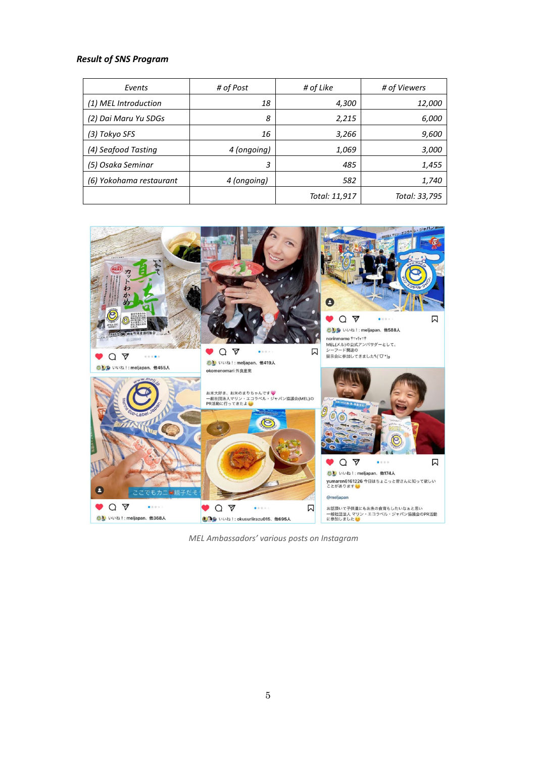#### *Result of SNS Program*

| Events                  | # of Post   | # of Like     | # of Viewers  |
|-------------------------|-------------|---------------|---------------|
| (1) MEL Introduction    | 18          | 4,300         | 12,000        |
| (2) Dai Maru Yu SDGs    | 8           | 2,215         | 6,000         |
| (3) Tokyo SFS           | 16          | 3,266         | 9,600         |
| (4) Seafood Tasting     | 4 (ongoing) | 1,069         | 3,000         |
| (5) Osaka Seminar       | 3           | 485           | 1,455         |
| (6) Yokohama restaurant | 4 (ongoing) | 582           | 1,740         |
|                         |             | Total: 11,917 | Total: 33,795 |



*MEL Ambassadors' various posts on Instagram*